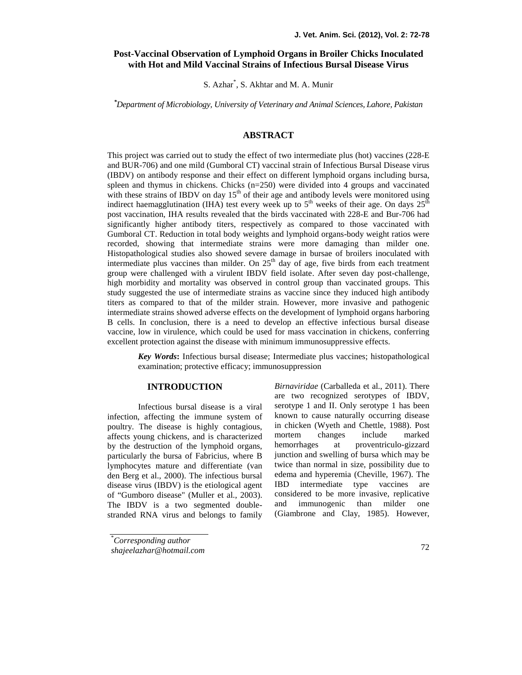# **Post-Vaccinal Observation of Lymphoid Organs in Broiler Chicks Inoculated with Hot and Mild Vaccinal Strains of Infectious Bursal Disease Virus**

S. Azhar\* , S. Akhtar and M. A. Munir

*\*Department of Microbiology, University of Veterinary and Animal Sciences, Lahore, Pakistan*

## **ABSTRACT**

This project was carried out to study the effect of two intermediate plus (hot) vaccines (228-E and BUR-706) and one mild (Gumboral CT) vaccinal strain of Infectious Bursal Disease virus (IBDV) on antibody response and their effect on different lymphoid organs including bursa, spleen and thymus in chickens. Chicks  $(n=250)$  were divided into 4 groups and vaccinated with these strains of IBDV on day  $15<sup>th</sup>$  of their age and antibody levels were monitored using indirect haemagglutination (IHA) test every week up to 5<sup>th</sup> weeks of their age. On days  $25^{th}$ post vaccination, IHA results revealed that the birds vaccinated with 228-E and Bur-706 had significantly higher antibody titers, respectively as compared to those vaccinated with Gumboral CT. Reduction in total body weights and lymphoid organs-body weight ratios were recorded, showing that intermediate strains were more damaging than milder one. Histopathological studies also showed severe damage in bursae of broilers inoculated with intermediate plus vaccines than milder. On  $25<sup>th</sup>$  day of age, five birds from each treatment group were challenged with a virulent IBDV field isolate. After seven day post-challenge, high morbidity and mortality was observed in control group than vaccinated groups. This study suggested the use of intermediate strains as vaccine since they induced high antibody titers as compared to that of the milder strain. However, more invasive and pathogenic intermediate strains showed adverse effects on the development of lymphoid organs harboring B cells. In conclusion, there is a need to develop an effective infectious bursal disease vaccine, low in virulence, which could be used for mass vaccination in chickens, conferring excellent protection against the disease with minimum immunosuppressive effects.

*Key Words***:** Infectious bursal disease; Intermediate plus vaccines; histopathological examination; protective efficacy; immunosuppression

# **INTRODUCTION**

Infectious bursal disease is a viral infection, affecting the immune system of poultry. The disease is highly contagious, in chick<br>affects young chickens and is characterized mortem affects young chickens, and is characterized mortem c<br>by the destruction of the lymphoid organs hemorrhages by the destruction of the lymphoid organs, particularly the bursa of Fabricius, where B lymphocytes mature and differentiate (van den Berg et al., 2000). The infectious bursal edem<br>disease virus (IBDV) is the etiological agent IBD disease virus (IBDV) is the etiological agent of "Gumboro disease" (Muller et al., 2003). consider<br>The IBDV is a two segmented double- and The IBDV is a two segmented double stranded RNA virus and belongs to family

*Birnaviridae* (Carballeda et al., 2011). There are two recognized serotypes of IBDV, serotype 1 and II. Only serotype 1 has been known to cause naturally occurring disease in chicken (Wyeth and Chettle, 1988). Post changes include marked at proventriculo-gizzard junction and swelling of bursa which may be twice than normal in size, possibility due to edema and hyperemia (Cheville, 1967). The intermediate type vaccines are considered to be more invasive, replicative immunogenic than milder one (Giambrone and Clay, 1985). However,

<sup>\*</sup>*Corresponding author shajeelazhar@hotmail.com*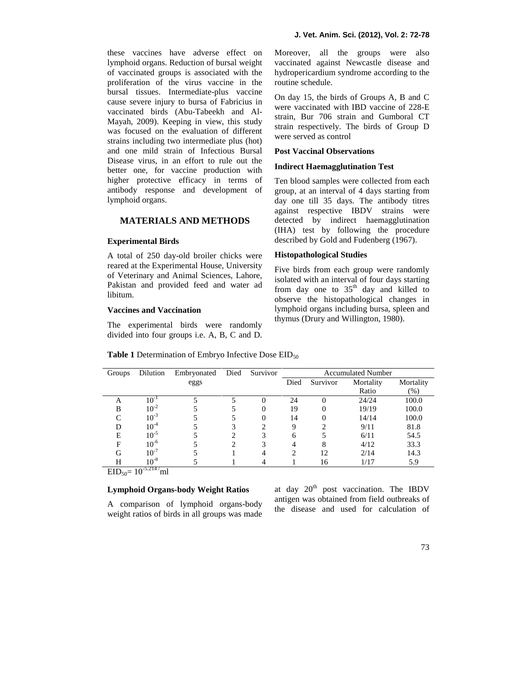these vaccines have adverse effect on lymphoid organs. Reduction of bursal weight of vaccinated groups is associated with the proliferation of the virus vaccine in the bursal tissues. Intermediate-plus vaccine cause severe injury to bursa of Fabricius in vaccinated birds (Abu-Tabeekh and Al- Mayah, 2009). Keeping in view, this study was focused on the evaluation of different strains including two intermediate plus (hot) and one mild strain of Infectious Bursal Disease virus, in an effort to rule out the better one, for vaccine production with higher protective efficacy in terms of antibody response and development of lymphoid organs.

### **MATERIALS AND METHODS**

#### **Experimental Birds**

A total of 250 day-old broiler chicks were reared at the Experimental House, University of Veterinary and Animal Sciences, Lahore, Pakistan and provided feed and water ad libitum.

#### **Vaccines and Vaccination**

The experimental birds were randomly divided into four groups i.e. A, B, C and D. Moreover, all the groups were also vaccinated against Newcastle disease and hydropericardium syndrome according to the routine schedule.

On day 15, the birds of Groups A, B and C were vaccinated with IBD vaccine of 228-E strain, Bur 706 strain and Gumboral CT strain respectively. The birds of Group D were served as control

## **Post Vaccinal Observations**

#### **Indirect Haemagglutination Test**

Ten blood samples were collected from each group, at an interval of 4 days starting from day one till 35 days. The antibody titres against respective IBDV strains were detected by indirect haemagglutination (IHA) test by following the procedure described by Gold and Fudenberg (1967).

#### **Histopathological Studies**

Five birds from each group were randomly isolated with an interval of four days starting from day one to  $35<sup>th</sup>$  day and killed to observe the histopathological changes in lymphoid organs including bursa, spleen and thymus (Drury and Willington, 1980).

**Table 1** Determination of Embryo Infective Dose EID<sub>50</sub>

| Groups     | Dilution            | Embryonated | Died | Survivor |      |          | <b>Accumulated Number</b> |           |
|------------|---------------------|-------------|------|----------|------|----------|---------------------------|-----------|
|            |                     | eggs        |      |          | Died | Survivor | Mortality                 | Mortality |
|            |                     |             |      |          |      |          | Ratio                     | $(\%)$    |
| A          | $10^{-1}$           |             |      | 0        | 24   |          | 24/24                     | 100.0     |
| B          | $10^{-2}$           |             |      | 0        | 19   |          | 19/19                     | 100.0     |
| $\sqrt{ }$ | $10^{-3}$           |             |      | 0        | 14   |          | 14/14                     | 100.0     |
| D          | $10^{-4}$           |             |      |          | 9    |          | 9/11                      | 81.8      |
| Е          | $10^{-5}$           |             |      | 3        | 6    |          | 6/11                      | 54.5      |
| F          | $10^{-6}$           |             |      | 3        | 4    |          | 4/12                      | 33.3      |
| G          | $10^{-7}$           |             |      |          | ◠    | 12       | 2/14                      | 14.3      |
| Н          | $10^{-8}$<br>5.0111 |             |      |          |      | 16       | 1/17                      | 5.9       |

 $EID_{50} = 10^{-5.214}$ /ml

### **Lymphoid Organs-body Weight Ratios**

A comparison of lymphoid organs-body weight ratios of birds in all groups was made at day  $20<sup>th</sup>$  post vaccination. The IBDV antigen was obtained from field outbreaks of the disease and used for calculation of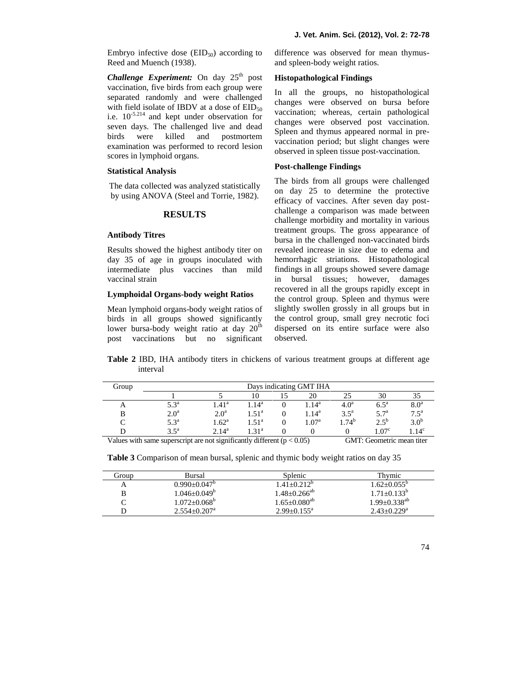Embryo infective dose  $(EID_{50})$  according to Reed and Muench (1938).

*Challenge Experiment:* On day 25<sup>th</sup> post vaccination, five birds from each group were separated randomly and were challenged with field isolate of IBDV at a dose of  $EID_{50}$ i.e.  $10^{-5.214}$  and kept under observation for seven days. The challenged live and dead birds were killed and postmortem examination was performed to record lesion scores in lymphoid organs.

#### **Statistical Analysis**

The data collected was analyzed statistically by using ANOVA (Steel and Torrie, 1982).

### **RESULTS**

## **Antibody Titres**

Results showed the highest antibody titer on day 35 of age in groups inoculated with intermediate plus vaccines than mild vaccinal strain

# **Lymphoidal Organs-body weight Ratios**

Mean lymphoid organs-body weight ratios of birds in all groups showed significantly lower bursa-body weight ratio at day  $20^{\text{th}}$ post vaccinations but no significant difference was observed for mean thymus and spleen-body weight ratios.

### **Histopathological Findings**

In all the groups, no histopathological changes were observed on bursa before vaccination; whereas, certain pathological changes were observed post vaccination*.* Spleen and thymus appeared normal in pre vaccination period; but slight changes were observed in spleen tissue post-vaccination.

### **Post-challenge Findings**

The birds from all groups were challenged on day 25 to determine the protective efficacy of vaccines. After seven day post challenge a comparison was made between challenge morbidity and mortality in various treatment groups. The gross appearance of bursa in the challenged non-vaccinated birds revealed increase in size due to edema and hemorrhagic striations. Histopathological findings in all groups showed severe damage in bursal tissues; however, damages recovered in all the groups rapidly except in the control group. Spleen and thymus were slightly swollen grossly in all groups but in the control group, small grey necrotic foci dispersed on its entire surface were also observed.

**Table 2** IBD, IHA antibody titers in chickens of various treatment groups at different age interval

| Group | Days indicating GMT IHA                                                 |                   |                  |  |                  |                  |                                          |                    |  |  |
|-------|-------------------------------------------------------------------------|-------------------|------------------|--|------------------|------------------|------------------------------------------|--------------------|--|--|
|       |                                                                         |                   | 10               |  | 20               |                  | 30                                       |                    |  |  |
| A     | 5.3 <sup>a</sup>                                                        | $1.41^{\rm a}$    | 14 <sup>a</sup>  |  | .14 <sup>a</sup> | 4.0 <sup>a</sup> | $6.5^{\mathrm{a}}$                       | 8.0 <sup>a</sup>   |  |  |
| В     | 2.0 <sup>a</sup>                                                        | 2.0 <sup>a</sup>  | $1.51^{\rm a}$   |  | $1.14^{\rm a}$   | $3.5^{\circ}$    | $5.7^{\rm a}$                            | $7.5^{\mathrm{a}}$ |  |  |
|       | $5.3^{\circ}$                                                           | $1.62^{\text{a}}$ | $1.51^{\circ}$   |  | $1.07^{\rm a}$   | .74 <sup>b</sup> | $2.5^{b}$                                | 3.0 <sup>b</sup>   |  |  |
|       | $3.5^{\mathrm{a}}$                                                      | $2.14^{a}$        | .31 <sup>a</sup> |  |                  |                  | 1.07 <sup>c</sup>                        | .14 <sup>c</sup>   |  |  |
|       | Values with same supercept are not significantly different $(n < 0.05)$ |                   |                  |  |                  |                  | $CMT$ $Go$ $Co$ $Go$ $Go$ $Go$ $Go$ $Go$ |                    |  |  |

Values with same superscript are not significantly different  $(p < 0.05)$  GMT: Geometric mean titer

| <b>Table 3</b> Comparison of mean bursal, splenic and thymic body weight ratios on day 35 |  |  |  |
|-------------------------------------------------------------------------------------------|--|--|--|
|-------------------------------------------------------------------------------------------|--|--|--|

| Group | Bursal              | Splenic             | Thymic                      |
|-------|---------------------|---------------------|-----------------------------|
| А     | $0.990+0.047^b$     | $1.41 + 0.212^b$    | $1.62 + 0.055^{\circ}$      |
|       | $1.046 \pm 0.049^b$ | $1.48 + 0.266^{ab}$ | $1.71 + 0.133^b$            |
|       | $1.072 + 0.068^b$   | $1.65 + 0.080^{ab}$ | $1.99 + 0.338^{ab}$         |
|       | $2.554+0.207^a$     | $2.99+0.155^a$      | $2.43 + 0.229$ <sup>a</sup> |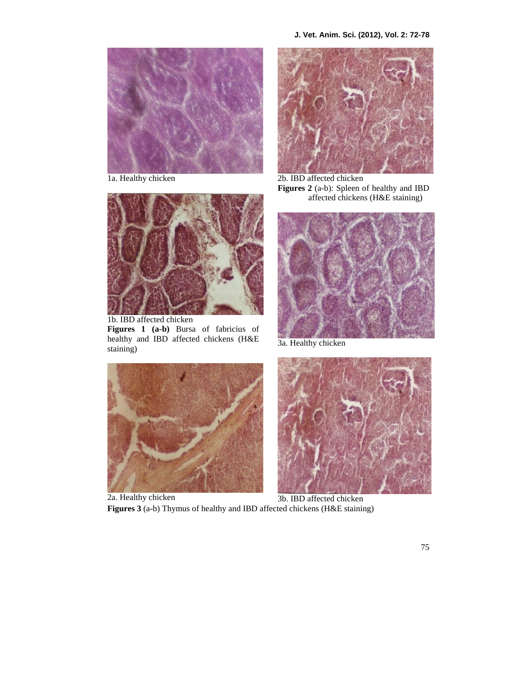

1a. Healthy chicken



1b. IBD affected chicken **Figures 1 (a-b)** Bursa of fabricius of healthy and IBD affected chickens (H&E staining)



2b. IBD affected chicken **Figures 2** (a-b): Spleen of healthy and IBD affected chickens (H&E staining)



3a. Healthy chicken



3b. IBD affected chicken **Figures 3** (a-b) Thymus of healthy and IBD affected chickens (H&E staining)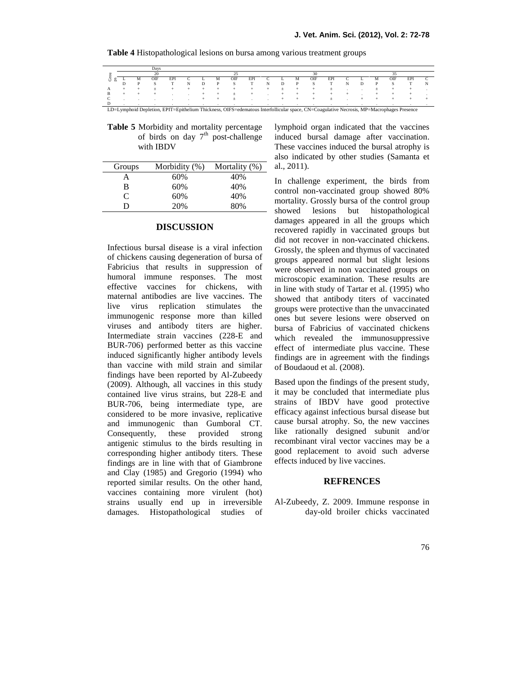|  |   | Davs |           |  |   |     |     |  |   |     |     |  |     |     |  |
|--|---|------|-----------|--|---|-----|-----|--|---|-----|-----|--|-----|-----|--|
|  |   |      |           |  |   |     |     |  |   |     |     |  |     |     |  |
|  |   | OIF  | <b>EP</b> |  | м | OIF | EPI |  |   | OIF | EPI |  | OIF | EP. |  |
|  | Ð |      |           |  |   | c   |     |  | D |     |     |  |     |     |  |
|  |   |      |           |  |   |     |     |  |   |     |     |  |     |     |  |
|  |   |      |           |  |   |     |     |  |   |     |     |  |     |     |  |
|  |   |      |           |  |   |     |     |  |   |     |     |  |     |     |  |
|  |   |      |           |  |   |     |     |  |   |     |     |  |     |     |  |

**Table 4** Histopathological lesions on bursa among various treatment groups

**Table 5** Morbidity and mortality percentage of birds on day  $7<sup>th</sup>$  post-challenge with IBDV

| Groups | Morbidity $(\%)$ | Mortality $(\%)$ | al., $201$ |
|--------|------------------|------------------|------------|
| А      | 60%              | 40%              | In cha     |
| в      | 60%              | 40%              | control    |
| C      | 60%              | 40%              | mortali    |
| D      | 20%              | 80%              | chowpe     |

### **DISCUSSION**

Infectious bursal disease is a viral infection of chickens causing degeneration of bursa of Fabricius that results in suppression of humoral immune responses. The most effective vaccines for chickens, with maternal antibodies are live vaccines. The live virus replication stimulates the immunogenic response more than killed viruses and antibody titers are higher. Intermediate strain vaccines (228-E and BUR-706) performed better as this vaccine induced significantly higher antibody levels than vaccine with mild strain and similar findings have been reported by Al-Zubeedy (2009). Although, all vaccines in this study contained live virus strains, but 228-E and BUR-706, being intermediate type, are considered to be more invasive, replicative and immunogenic than Gumboral CT. Consequently, these provided strong antigenic stimulus to the birds resulting in corresponding higher antibody titers. These findings are in line with that of Giambrone and Clay (1985) and Gregorio (1994) who reported similar results. On the other hand, vaccines containing more virulent (hot) strains usually end up in irreversible damages. Histopathological studies of lymphoid organ indicated that the vaccines induced bursal damage after vaccination. These vaccines induced the bursal atrophy is also indicated by other studies (Samanta et al., 2011).

In challenge experiment, the birds from control non-vaccinated group showed 80% mortality. Grossly bursa of the control group showed lesions but histopathological damages appeared in all the groups which recovered rapidly in vaccinated groups but did not recover in non-vaccinated chickens. Grossly, the spleen and thymus of vaccinated groups appeared normal but slight lesions were observed in non vaccinated groups on microscopic examination. These results are in line with study of Tartar et al. (1995) who showed that antibody titers of vaccinated groups were protective than the unvaccinated ones but severe lesions were observed on bursa of Fabricius of vaccinated chickens which revealed the immunosuppressive effect of intermediate plus vaccine. These findings are in agreement with the findings of Boudaoud et al. (2008).

Based upon the findings of the present study, it may be concluded that intermediate plus strains of IBDV have good protective efficacy against infectious bursal disease but cause bursal atrophy. So, the new vaccines like rationally designed subunit and/or recombinant viral vector vaccines may be a good replacement to avoid such adverse effects induced by live vaccines.

#### **REFRENCES**

Al-Zubeedy, Z. 2009. Immune response in day-old broiler chicks vaccinated